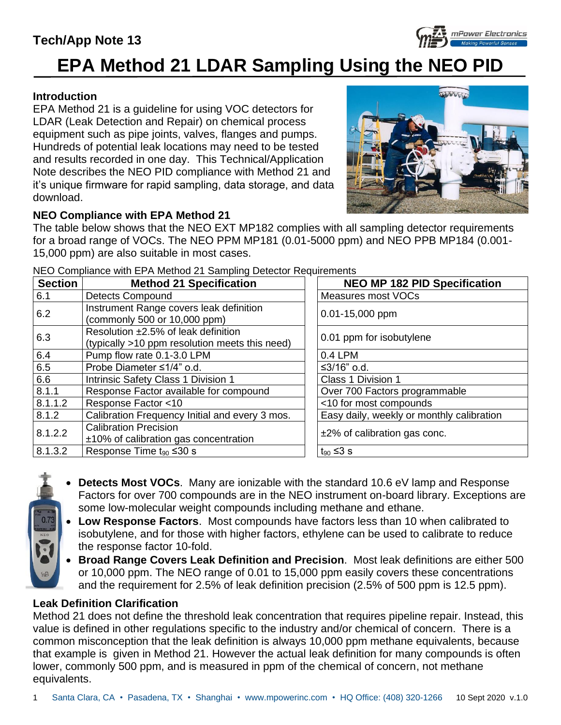# **Tech/App Note 13**



#### **Introduction**

EPA Method 21 is a guideline for using VOC detectors for LDAR (Leak Detection and Repair) on chemical process equipment such as pipe joints, valves, flanges and pumps. Hundreds of potential leak locations may need to be tested and results recorded in one day. This Technical/Application Note describes the NEO PID compliance with Method 21 and it's unique firmware for rapid sampling, data storage, and data download.



mPower Electronics

### **NEO Compliance with EPA Method 21**

The table below shows that the NEO EXT MP182 complies with all sampling detector requirements for a broad range of VOCs. The NEO PPM MP181 (0.01-5000 ppm) and NEO PPB MP184 (0.001- 15,000 ppm) are also suitable in most cases.

| <b>Section</b> | <b>Method 21 Specification</b>                                                        | <b>NEO MP 182 PID Specification</b>       |
|----------------|---------------------------------------------------------------------------------------|-------------------------------------------|
| 6.1            | <b>Detects Compound</b>                                                               | Measures most VOCs                        |
| 6.2            | Instrument Range covers leak definition<br>(commonly 500 or 10,000 ppm)               | 0.01-15,000 ppm                           |
| 6.3            | Resolution ±2.5% of leak definition<br>(typically >10 ppm resolution meets this need) | 0.01 ppm for isobutylene                  |
| 6.4            | Pump flow rate 0.1-3.0 LPM                                                            | $0.4$ LPM                                 |
| 6.5            | Probe Diameter ≤1/4" o.d.                                                             | ≤3/16" o.d.                               |
| 6.6            | Intrinsic Safety Class 1 Division 1                                                   | Class 1 Division 1                        |
| 8.1.1          | Response Factor available for compound                                                | Over 700 Factors programmable             |
| 8.1.1.2        | Response Factor <10                                                                   | <10 for most compounds                    |
| 8.1.2          | Calibration Frequency Initial and every 3 mos.                                        | Easy daily, weekly or monthly calibration |
| 8.1.2.2        | <b>Calibration Precision</b><br>±10% of calibration gas concentration                 | $±2\%$ of calibration gas conc.           |
| 8.1.3.2        | Response Time $t_{90} \leq 30$ s                                                      | $t_{90}$ ≤3 s                             |

NEO Compliance with EPA Method 21 Sampling Detector Requirements

- **Detects Most VOCs**. Many are ionizable with the standard 10.6 eV lamp and Response Factors for over 700 compounds are in the NEO instrument on-board library. Exceptions are some low-molecular weight compounds including methane and ethane.
- **Low Response Factors**. Most compounds have factors less than 10 when calibrated to isobutylene, and for those with higher factors, ethylene can be used to calibrate to reduce the response factor 10-fold.
- **Broad Range Covers Leak Definition and Precision**. Most leak definitions are either 500 or 10,000 ppm. The NEO range of 0.01 to 15,000 ppm easily covers these concentrations and the requirement for 2.5% of leak definition precision (2.5% of 500 ppm is 12.5 ppm).

### **Leak Definition Clarification**

Method 21 does not define the threshold leak concentration that requires pipeline repair. Instead, this value is defined in other regulations specific to the industry and/or chemical of concern. There is a common misconception that the leak definition is always 10,000 ppm methane equivalents, because that example is given in Method 21. However the actual leak definition for many compounds is often lower, commonly 500 ppm, and is measured in ppm of the chemical of concern, not methane equivalents.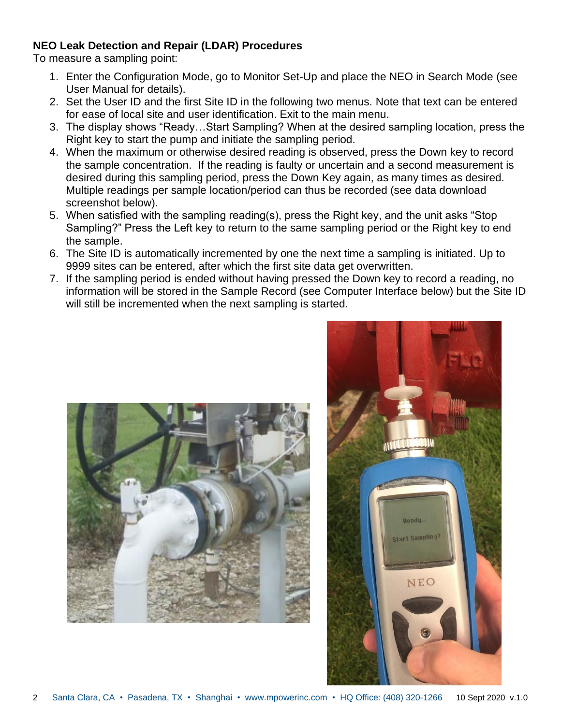#### **NEO Leak Detection and Repair (LDAR) Procedures**

To measure a sampling point:

- 1. Enter the Configuration Mode, go to Monitor Set-Up and place the NEO in Search Mode (see User Manual for details).
- 2. Set the User ID and the first Site ID in the following two menus. Note that text can be entered for ease of local site and user identification. Exit to the main menu.
- 3. The display shows "Ready…Start Sampling? When at the desired sampling location, press the Right key to start the pump and initiate the sampling period.
- 4. When the maximum or otherwise desired reading is observed, press the Down key to record the sample concentration. If the reading is faulty or uncertain and a second measurement is desired during this sampling period, press the Down Key again, as many times as desired. Multiple readings per sample location/period can thus be recorded (see data download screenshot below).
- 5. When satisfied with the sampling reading(s), press the Right key, and the unit asks "Stop Sampling?" Press the Left key to return to the same sampling period or the Right key to end the sample.
- 6. The Site ID is automatically incremented by one the next time a sampling is initiated. Up to 9999 sites can be entered, after which the first site data get overwritten.
- 7. If the sampling period is ended without having pressed the Down key to record a reading, no information will be stored in the Sample Record (see Computer Interface below) but the Site ID will still be incremented when the next sampling is started.